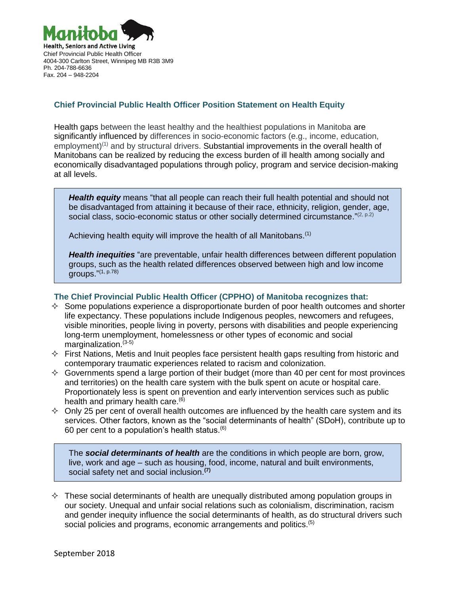

## **Chief Provincial Public Health Officer Position Statement on Health Equity**

Health gaps between the least healthy and the healthiest populations in Manitoba are significantly influenced by differences in socio-economic factors (e.g., income, education, employment)<sup>(1)</sup> and by structural drivers. Substantial improvements in the overall health of Manitobans can be realized by reducing the excess burden of ill health among socially and economically disadvantaged populations through policy, program and service decision-making at all levels.

*Health equity* means "that all people can reach their full health potential and should not be disadvantaged from attaining it because of their race, ethnicity, religion, gender, age, social class, socio-economic status or other socially determined circumstance." $(2, p.2)$ 

Achieving health equity will improve the health of all Manitobans.<sup>(1)</sup>

*Health inequities* "are preventable, unfair health differences between different population groups, such as the health related differences observed between high and low income groups." (1, p.78)

## **The Chief Provincial Public Health Officer (CPPHO) of Manitoba recognizes that:**

- $\diamond$  Some populations experience a disproportionate burden of poor health outcomes and shorter life expectancy. These populations include Indigenous peoples, newcomers and refugees, visible minorities, people living in poverty, persons with disabilities and people experiencing long-term unemployment, homelessness or other types of economic and social marginalization. $(3-5)$
- $\Diamond$  First Nations, Metis and Inuit peoples face persistent health gaps resulting from historic and contemporary traumatic experiences related to racism and colonization.
- $\Diamond$  Governments spend a large portion of their budget (more than 40 per cent for most provinces and territories) on the health care system with the bulk spent on acute or hospital care. Proportionately less is spent on prevention and early intervention services such as public health and primary health care.<sup>(6)</sup>
- $\diamond$  Only 25 per cent of overall health outcomes are influenced by the health care system and its services. Other factors, known as the "social determinants of health" (SDoH), contribute up to 60 per cent to a population's health status. (6)

The *social determinants of health* are the conditions in which people are born, grow, live, work and age – such as housing, food, income, natural and built environments, social safety net and social inclusion. **(7)**

 $\Diamond$  These social determinants of health are unequally distributed among population groups in our society. Unequal and unfair social relations such as colonialism, discrimination, racism and gender inequity influence the social determinants of health, as do structural drivers such social policies and programs, economic arrangements and politics.<sup>(5)</sup>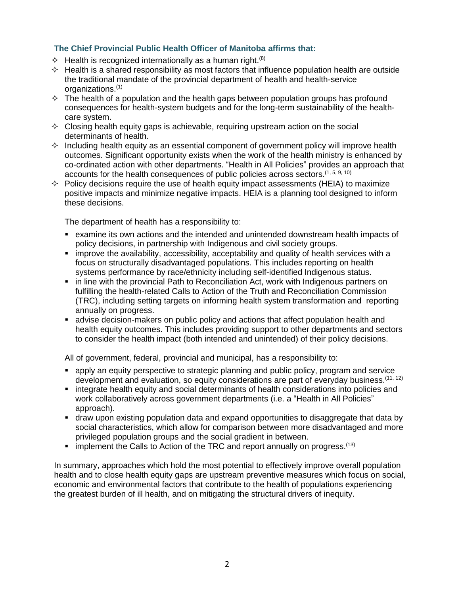## **The Chief Provincial Public Health Officer of Manitoba affirms that:**

- $\Diamond$  Health is recognized internationally as a human right.<sup>(8)</sup>
- $\Diamond$  Health is a shared responsibility as most factors that influence population health are outside the traditional mandate of the provincial department of health and health-service organizations. (1)
- $\Diamond$  The health of a population and the health gaps between population groups has profound consequences for health-system budgets and for the long-term sustainability of the healthcare system.
- $\Diamond$  Closing health equity gaps is achievable, requiring upstream action on the social determinants of health.
- $\Diamond$  Including health equity as an essential component of government policy will improve health outcomes. Significant opportunity exists when the work of the health ministry is enhanced by co-ordinated action with other departments. "Health in All Policies" provides an approach that accounts for the health consequences of public policies across sectors.<sup>(1, 5, 9, 10)</sup>
- $\Diamond$  Policy decisions require the use of health equity impact assessments (HEIA) to maximize positive impacts and minimize negative impacts. HEIA is a planning tool designed to inform these decisions.

The department of health has a responsibility to:

- examine its own actions and the intended and unintended downstream health impacts of policy decisions, in partnership with Indigenous and civil society groups.
- improve the availability, accessibility, acceptability and quality of health services with a focus on structurally disadvantaged populations. This includes reporting on health systems performance by race/ethnicity including self-identified Indigenous status.
- **EXT** in line with the provincial Path to Reconciliation Act, work with Indigenous partners on fulfilling the health-related Calls to Action of the Truth and Reconciliation Commission (TRC), including setting targets on informing health system transformation and reporting annually on progress.
- advise decision-makers on public policy and actions that affect population health and health equity outcomes. This includes providing support to other departments and sectors to consider the health impact (both intended and unintended) of their policy decisions.

All of government, federal, provincial and municipal, has a responsibility to:

- apply an equity perspective to strategic planning and public policy, program and service development and evaluation, so equity considerations are part of everyday business.<sup>(11, 12)</sup>
- integrate health equity and social determinants of health considerations into policies and work collaboratively across government departments (i.e. a "Health in All Policies" approach).
- draw upon existing population data and expand opportunities to disaggregate that data by social characteristics, which allow for comparison between more disadvantaged and more privileged population groups and the social gradient in between.
- $\blacksquare$  implement the Calls to Action of the TRC and report annually on progress.  $^{(13)}$

In summary, approaches which hold the most potential to effectively improve overall population health and to close health equity gaps are upstream preventive measures which focus on social, economic and environmental factors that contribute to the health of populations experiencing the greatest burden of ill health, and on mitigating the structural drivers of inequity.